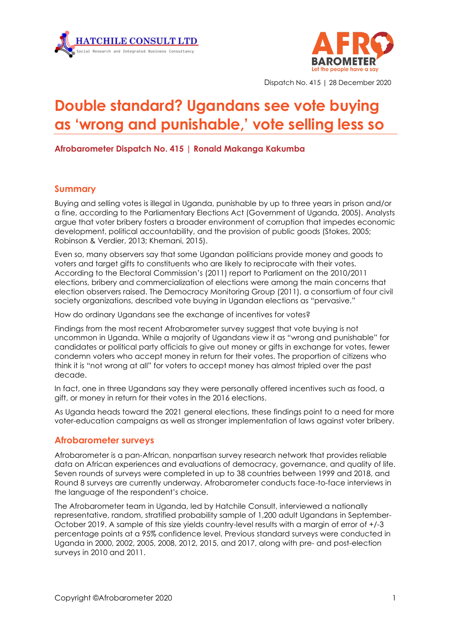



Dispatch No. 415 | 28 December 2020

# **Double standard? Ugandans see vote buying as 'wrong and punishable, ' vote selling less so**

**Afrobarometer Dispatch No. 415 | Ronald Makanga Kakumba**

#### **Summary**

Buying and selling votes is illegal in Uganda, punishable by up to three years in prison and/or a fine, according to the Parliamentary Elections Act (Government of Uganda, 2005). Analysts argue that voter bribery fosters a broader environment of corruption that impedes economic development, political accountability, and the provision of public goods (Stokes, 2005; Robinson & Verdier, 2013; Khemani, 2015).

Even so, many observers say that some Ugandan politicians provide money and goods to voters and target gifts to constituents who are likely to reciprocate with their votes. According to the Electoral Commission's (2011) report to Parliament on the 2010/2011 elections, bribery and commercialization of elections were among the main concerns that election observers raised. The Democracy Monitoring Group (2011), a consortium of four civil society organizations, described vote buying in Ugandan elections as "pervasive."

How do ordinary Ugandans see the exchange of incentives for votes?

Findings from the most recent Afrobarometer survey suggest that vote buying is not uncommon in Uganda. While a majority of Ugandans view it as "wrong and punishable" for candidates or political party officials to give out money or gifts in exchange for votes, fewer condemn voters who accept money in return for their votes. The proportion of citizens who think it is "not wrong at all" for voters to accept money has almost tripled over the past decade.

In fact, one in three Ugandans say they were personally offered incentives such as food, a gift, or money in return for their votes in the 2016 elections.

As Uganda heads toward the 2021 general elections, these findings point to a need for more voter-education campaigns as well as stronger implementation of laws against voter bribery.

#### **Afrobarometer surveys**

Afrobarometer is a pan-African, nonpartisan survey research network that provides reliable data on African experiences and evaluations of democracy, governance, and quality of life. Seven rounds of surveys were completed in up to 38 countries between 1999 and 2018, and Round 8 surveys are currently underway. Afrobarometer conducts face-to-face interviews in the language of the respondent's choice.

The Afrobarometer team in Uganda, led by Hatchile Consult, interviewed a nationally representative, random, stratified probability sample of 1,200 adult Ugandans in September-October 2019. A sample of this size yields country-level results with a margin of error of +/-3 percentage points at a 95% confidence level. Previous standard surveys were conducted in Uganda in 2000, 2002, 2005, 2008, 2012, 2015, and 2017, along with pre- and post-election surveys in 2010 and 2011.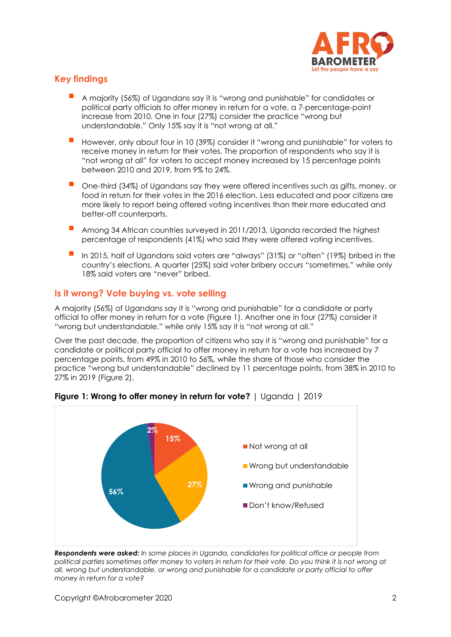

## **Key findings**

- A majority (56%) of Ugandans say it is "wrong and punishable" for candidates or political party officials to offer money in return for a vote, a 7-percentage-point increase from 2010. One in four (27%) consider the practice "wrong but understandable." Only 15% say it is "not wrong at all."
- However, only about four in 10 (39%) consider it "wrong and punishable" for voters to receive money in return for their votes. The proportion of respondents who say it is "not wrong at all" for voters to accept money increased by 15 percentage points between 2010 and 2019, from 9% to 24%.
- One-third (34%) of Ugandans say they were offered incentives such as gifts, money, or food in return for their votes in the 2016 election. Less educated and poor citizens are more likely to report being offered voting incentives than their more educated and better-off counterparts.
- Among 34 African countries surveyed in 2011/2013, Uganda recorded the highest percentage of respondents (41%) who said they were offered voting incentives.
- In 2015, half of Ugandans said voters are "always" (31%) or "often" (19%) bribed in the country's elections. A quarter (25%) said voter bribery occurs "sometimes," while only 18% said voters are "never" bribed.

## **Is it wrong? Vote buying vs. vote selling**

A majority (56%) of Ugandans say it is "wrong and punishable" for a candidate or party official to offer money in return for a vote (Figure 1). Another one in four (27%) consider it "wrong but understandable," while only 15% say it is "not wrong at all."

Over the past decade, the proportion of citizens who say it is "wrong and punishable" for a candidate or political party official to offer money in return for a vote has increased by 7 percentage points, from 49% in 2010 to 56%, while the share of those who consider the practice "wrong but understandable" declined by 11 percentage points, from 38% in 2010 to 27% in 2019 (Figure 2).



**Figure 1: Wrong to offer money in return for vote?** | Uganda | 2019

*Respondents were asked: In some places in Uganda, candidates for political office or people from political parties sometimes offer money to voters in return for their vote. Do you think it is not wrong at all, wrong but understandable, or wrong and punishable for a candidate or party official to offer money in return for a vote?*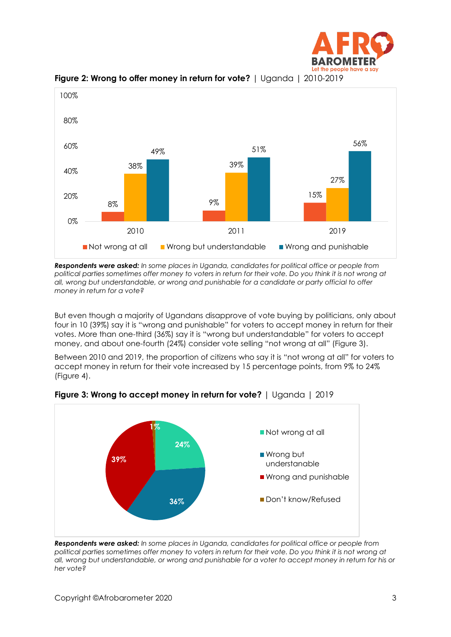



**Figure 2: Wrong to offer money in return for vote?** | Uganda | 2010-2019

*Respondents were asked: In some places in Uganda, candidates for political office or people from political parties sometimes offer money to voters in return for their vote. Do you think it is not wrong at all, wrong but understandable, or wrong and punishable for a candidate or party official to offer money in return for a vote?*

But even though a majority of Ugandans disapprove of vote buying by politicians, only about four in 10 (39%) say it is "wrong and punishable" for voters to accept money in return for their votes. More than one-third (36%) say it is "wrong but understandable" for voters to accept money, and about one-fourth (24%) consider vote selling "not wrong at all" (Figure 3).

Between 2010 and 2019, the proportion of citizens who say it is "not wrong at all" for voters to accept money in return for their vote increased by 15 percentage points, from 9% to 24% (Figure 4).



**Figure 3: Wrong to accept money in return for vote?** | Uganda | 2019

*Respondents were asked: In some places in Uganda, candidates for political office or people from political parties sometimes offer money to voters in return for their vote. Do you think it is not wrong at all, wrong but understandable, or wrong and punishable for a voter to accept money in return for his or her vote?*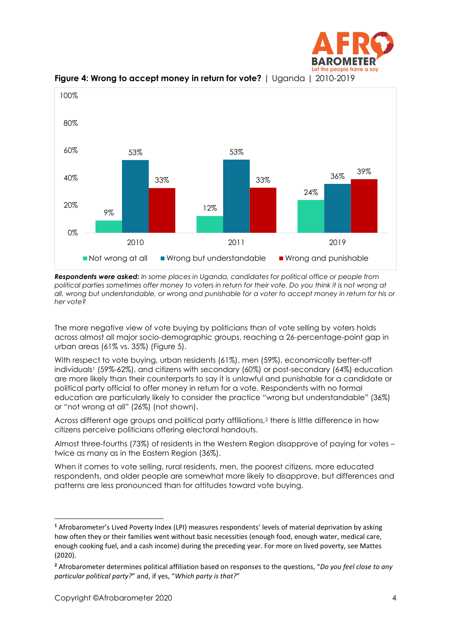



**Figure 4: Wrong to accept money in return for vote?** | Uganda | 2010-2019

*Respondents were asked: In some places in Uganda, candidates for political office or people from political parties sometimes offer money to voters in return for their vote. Do you think it is not wrong at all, wrong but understandable, or wrong and punishable for a voter to accept money in return for his or her vote?* 

The more negative view of vote buying by politicians than of vote selling by voters holds across almost all major socio-demographic groups, reaching a 26-percentage-point gap in urban areas (61% vs. 35%) (Figure 5).

With respect to vote buying, urban residents (61%), men (59%), economically better-off individuals<sup>1</sup> (59%-62%), and citizens with secondary (60%) or post-secondary (64%) education are more likely than their counterparts to say it is unlawful and punishable for a candidate or political party official to offer money in return for a vote. Respondents with no formal education are particularly likely to consider the practice "wrong but understandable" (36%) or "not wrong at all" (26%) (not shown).

Across different age groups and political party affiliations,<sup>2</sup> there is little difference in how citizens perceive politicians offering electoral handouts.

Almost three-fourths (73%) of residents in the Western Region disapprove of paying for votes – twice as many as in the Eastern Region (36%).

When it comes to vote selling, rural residents, men, the poorest citizens, more educated respondents, and older people are somewhat more likely to disapprove, but differences and patterns are less pronounced than for attitudes toward vote buying.

**<sup>1</sup>** Afrobarometer's Lived Poverty Index (LPI) measures respondents' levels of material deprivation by asking how often they or their families went without basic necessities (enough food, enough water, medical care, enough cooking fuel, and a cash income) during the preceding year. For more on lived poverty, see Mattes (2020).

**<sup>2</sup>** Afrobarometer determines political affiliation based on responses to the questions, "*Do you feel close to any particular political party?*" and, if yes, "*Which party is that?*"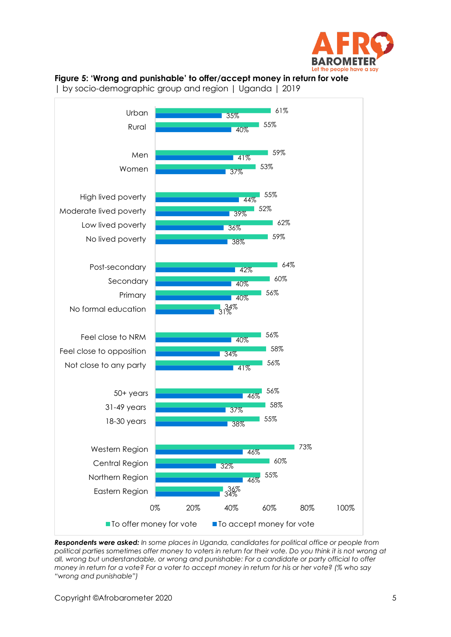

#### **Figure 5: 'Wrong and punishable' to offer/accept money in return for vote**

| by socio-demographic group and region | Uganda | 2019



*Respondents were asked: In some places in Uganda, candidates for political office or people from political parties sometimes offer money to voters in return for their vote. Do you think it is not wrong at all, wrong but understandable, or wrong and punishable: For a candidate or party official to offer money in return for a vote? For a voter to accept money in return for his or her vote? (% who say "wrong and punishable")*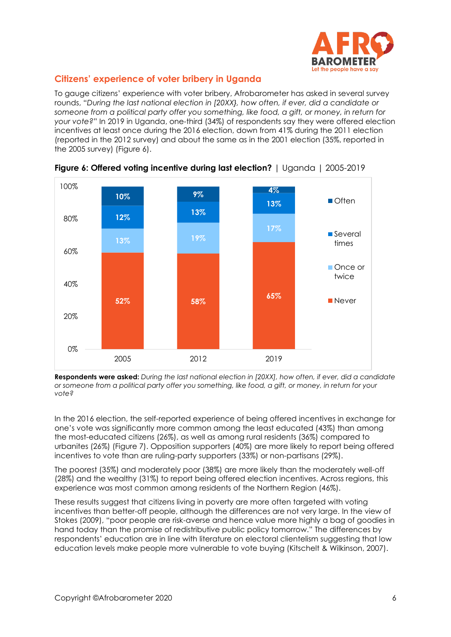

## **Citizens' experience of voter bribery in Uganda**

To gauge citizens' experience with voter bribery, Afrobarometer has asked in several survey rounds, "*During the last national election in [20XX}, how often, if ever, did a candidate or someone from a political party offer you something, like food, a gift, or money, in return for your vote?*" In 2019 in Uganda, one-third (34%) of respondents say they were offered election incentives at least once during the 2016 election, down from 41% during the 2011 election (reported in the 2012 survey) and about the same as in the 2001 election (35%, reported in the 2005 survey) (Figure 6).



**Figure 6: Offered voting incentive during last election?** | Uganda | 2005-2019

**Respondents were asked:** *During the last national election in [20XX], how often, if ever, did a candidate or someone from a political party offer you something, like food, a gift, or money, in return for your vote?*

In the 2016 election, the self-reported experience of being offered incentives in exchange for one's vote was significantly more common among the least educated (43%) than among the most-educated citizens (26%), as well as among rural residents (36%) compared to urbanites (26%) (Figure 7). Opposition supporters (40%) are more likely to report being offered incentives to vote than are ruling-party supporters (33%) or non-partisans (29%).

The poorest (35%) and moderately poor (38%) are more likely than the moderately well-off (28%) and the wealthy (31%) to report being offered election incentives. Across regions, this experience was most common among residents of the Northern Region (46%).

These results suggest that citizens living in poverty are more often targeted with voting incentives than better-off people, although the differences are not very large. In the view of Stokes (2009), "poor people are risk-averse and hence value more highly a bag of goodies in hand today than the promise of redistributive public policy tomorrow." The differences by respondents' education are in line with literature on electoral clientelism suggesting that low education levels make people more vulnerable to vote buying (Kitschelt & Wilkinson, 2007).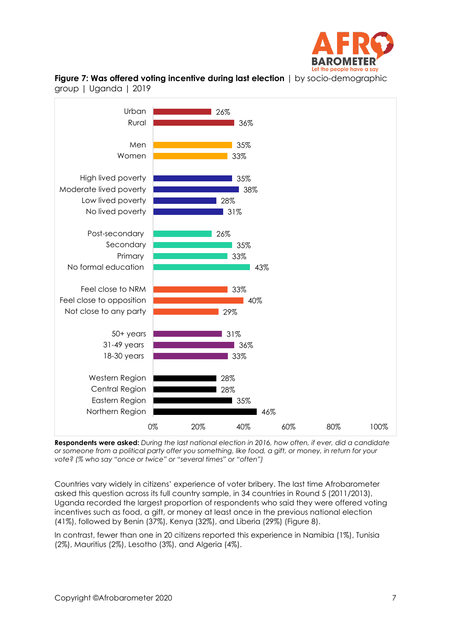



**Figure 7: Was offered voting incentive during last election** | by socio-demographic group | Uganda | 2019

**Respondents were asked:** *During the last national election in 2016, how often, if ever, did a candidate or someone from a political party offer you something, like food, a gift, or money, in return for your vote? (% who say "once or twice" or "several times" or "often")* 

Countries vary widely in citizens' experience of voter bribery. The last time Afrobarometer asked this question across its full country sample, in 34 countries in Round 5 (2011/2013), Uganda recorded the largest proportion of respondents who said they were offered voting incentives such as food, a gift, or money at least once in the previous national election (41%), followed by Benin (37%), Kenya (32%), and Liberia (29%) (Figure 8).

In contrast, fewer than one in 20 citizens reported this experience in Namibia (1%), Tunisia (2%), Mauritius (2%), Lesotho (3%), and Algeria (4%).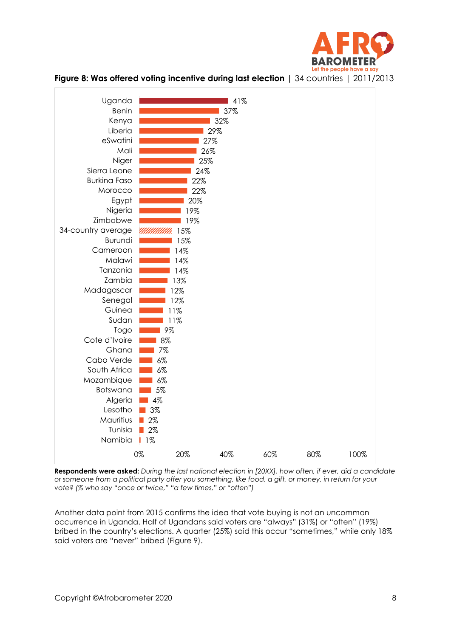



**Figure 8: Was offered voting incentive during last election** | 34 countries | 2011/2013

**Respondents were asked:** *During the last national election in [20XX], how often, if ever, did a candidate or someone from a political party offer you something, like food, a gift, or money, in return for your vote? (% who say "once or twice," "a few times," or "often")*

Another data point from 2015 confirms the idea that vote buying is not an uncommon occurrence in Uganda. Half of Ugandans said voters are "always" (31%) or "often" (19%) bribed in the country's elections. A quarter (25%) said this occur "sometimes," while only 18% said voters are "never" bribed (Figure 9).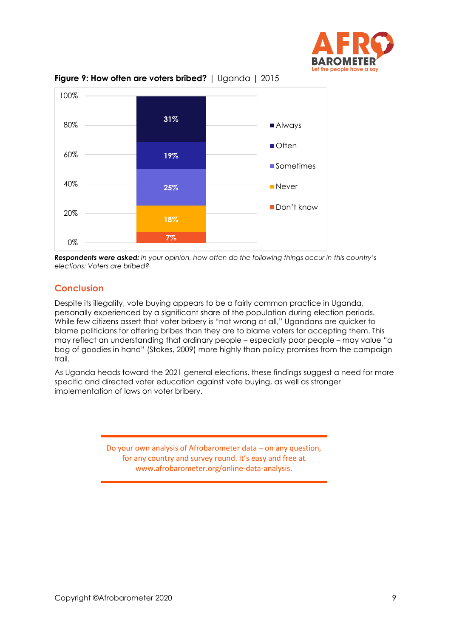



**Figure 9: How often are voters bribed?** | Uganda | 2015

**Respondents were asked:** In your opinion, how often do the following things occur in this country's *elections: Voters are bribed?*

## **Conclusion**

Despite its illegality, vote buying appears to be a fairly common practice in Uganda, personally experienced by a significant share of the population during election periods. While few citizens assert that voter bribery is "not wrong at all," Ugandans are quicker to blame politicians for offering bribes than they are to blame voters for accepting them. This may reflect an understanding that ordinary people – especially poor people – may value "a bag of goodies in hand" (Stokes, 2009) more highly than policy promises from the campaign trail.

As Uganda heads toward the 2021 general elections, these findings suggest a need for more specific and directed voter education against vote buying, as well as stronger implementation of laws on voter bribery.

> Do your own analysis of Afrobarometer data – on any question, for any country and survey round. It's easy and free at www.afrobarometer.org/online-data-analysis.